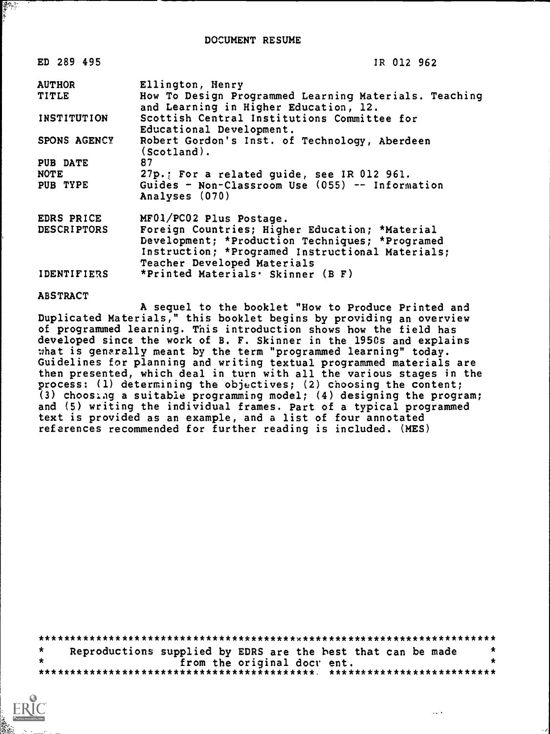| ED 289 495          | IR 012 962                                                                                                                                                                           |
|---------------------|--------------------------------------------------------------------------------------------------------------------------------------------------------------------------------------|
| <b>AUTHOR</b>       | Ellington, Henry                                                                                                                                                                     |
| <b>TITLE</b>        | How To Design Programmed Learning Materials. Teaching<br>and Learning in Higher Education, 12.                                                                                       |
| INSTITUTION         | Scottish Central Institutions Committee for<br>Educational Development.                                                                                                              |
| <b>SPONS AGENCY</b> | Robert Gordon's Inst. of Technology, Aberdeen<br>$(Scotland)$ .                                                                                                                      |
| PUB DATE            | 87                                                                                                                                                                                   |
| <b>NOTE</b>         | 27p.; For a related guide, see IR 012 961.                                                                                                                                           |
| PUB TYPE            | Guides - Non-Classroom Use (055) -- Information<br>Analyses (070)                                                                                                                    |
| EDRS PRICE          | MF01/PC02 Plus Postage.                                                                                                                                                              |
| <b>DESCRIPTORS</b>  | Foreign Countries; Higher Education; *Material<br>Development; *Production Techniques; *Programed<br>Instruction; *Programed Instructional Materials;<br>Teacher Developed Materials |

IDENTIFIERS \*Printed Materials. Skinner (B F)

ABSTRACT

鹦鹉

A sequel to the booklet "How to Produce Printed and Duplicated Materials," this booklet begins by providing an overview of programmed learning. This introduction shows how the field has developed since the work of B. F. Skinner in the 1950s and explains what is generally meant by the term "programmed learning" today. Guidelines for planning and writing textual programmed materials are then presented, which deal in turn with all the various stages in the process: (1) determining the objectives; (2) choosing the content; (3) chooslag a suitable programming model; (4) designing the program; and (5) writing the individual frames. Part of a typical programmed text is provided as an example, and a list of four annotated references recommended for further reading is included. (MES)

\*\*\*\*\*\*\*\*\*\*\*\*\*\*\*\*\*\*\*\*\*\*\*\*\*\*\*\*\*\*\*\*\*\*\*\*\*\*\*\*w\*\*\*\*\*\*\*\*\*\*\*\*\*\*\*\*\*\*\*\*\*\*\*\*\*\*\*\*\*\*  $\star$ Reproductions supplied by EDRS are the hest that can be made \*<br>from the original doct ent. from the original docv ent. \*\*\*\*\*\*\*\*\*\*\*\*\*\*\*\*\*\*\*\*\*\*\*\*\*\*\*\*\*\*\*\*\*\*\*\*\*\*\*\*\*\*\* \*\*\*\*\*\*\*\*\*\*\*\*\*\*\*\*\*\*\*\*\*\*\*\*\*\*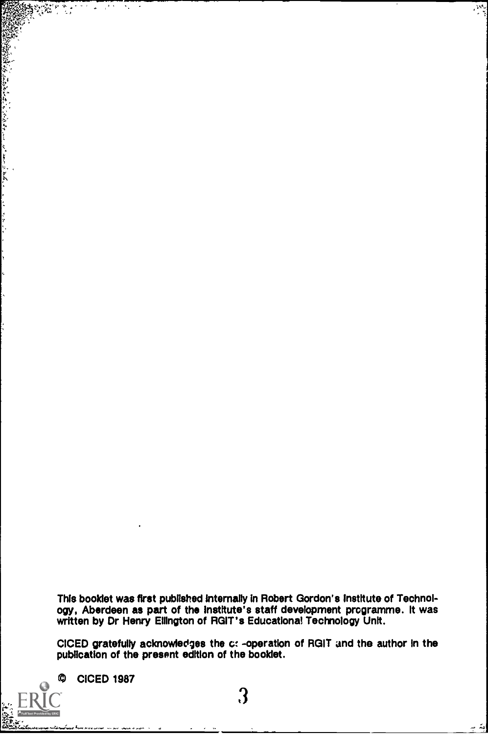This booklet was first published internally in Robert Gordon's institute of Technology, Aberdeen as part of the Institute's staff development programme. It was written by Dr Henry Ellington of RGIT's Educational Technology Unit.

ल्लू

امتدحد

CICED gratefully acknowledges the c: -operation of ROIT and the author in the publication of the present edition of the booklet.

O **CICED 1987** 

 $\odot$ ERĬO Full Text Provided by ERIC

i.

**AND** 

Ä. ÷,

STAT 勢

and a family of the first of the state of the state of the state of the state of the state of the state of the state of the state of the state of the state of the state of the state of the state of the state of the state o

 $\ddot{\cdot}$ ٠.<br>۲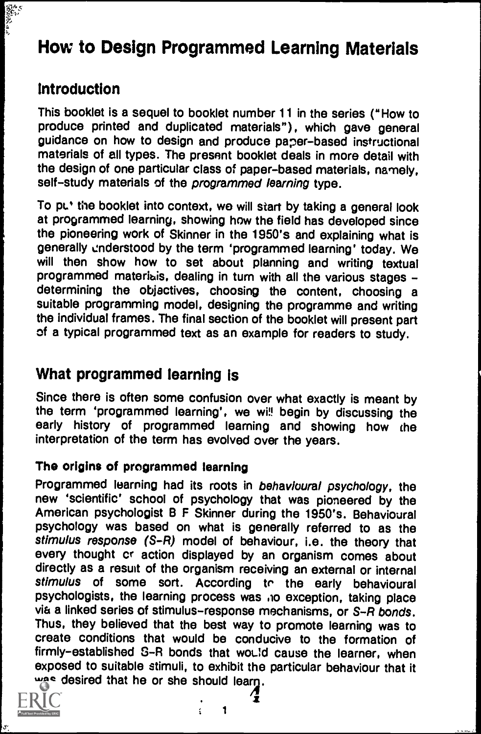# How to Design Programmed Learning Materials

# Introduction

**The Society** 

This booklet is a sequel to booklet number 11 in the series ("How to produce printed and duplicated materials"), which gave general guidance on how to design and produce paper-based instructional materials of all types. The present booklet deals in more detail with the design of one particular class of paper-based materials, namely, self-study materials of the programmed learning type.

To put the booklet into context, we will start by taking a general look at programmed learning, showing how the field has developed since the pioneering work of Skinner in the 1950's and explaining what is generally understood by the term 'programmed learning' today. We will then show how to set about planning and writing textual programmed materials, dealing in turn with all the various stages determining the objectives, choosing the content, choosing a suitable programming model, designing the programme and writing the individual frames. The final section of the booklet will present part of a typical programmed text as an example for readers to study.

# What programmed learning is

Since there is often some confusion over what exactly is meant by the term 'programmed learning', we wi!! begin by discussing the early history of programmed learning and showing how the interpretation of the term has evolved over the years.

#### The origins of programmed learning

Programmed learning had its roots in behavioural psychology, the new 'scientific' school of psychology that was pioneered by the American psychologist B F Skinner during the 1950's. Behavioural psychology was based on what is generally referred to as the stimulus response (S-R) model of behaviour, i.e. the theory that every thought cr action displayed by an organism comes about directly as a result of the organism receiving an external or internal stimulus of some sort. According to the early behavioural psychologists, the learning process was no exception, taking place via a linked series of stimulus-response mechanisms, or S-R bonds. Thus, they believed that the best way to promote learning was to create conditions that would be conducive to the formation of firmly-established S-R bonds that would cause the learner, when exposed to suitable stimuli, to exhibit the particular behaviour that it was desired that he or she should learn.



1

š,

 $\mathbf{i}$  and  $\mathbf{j}$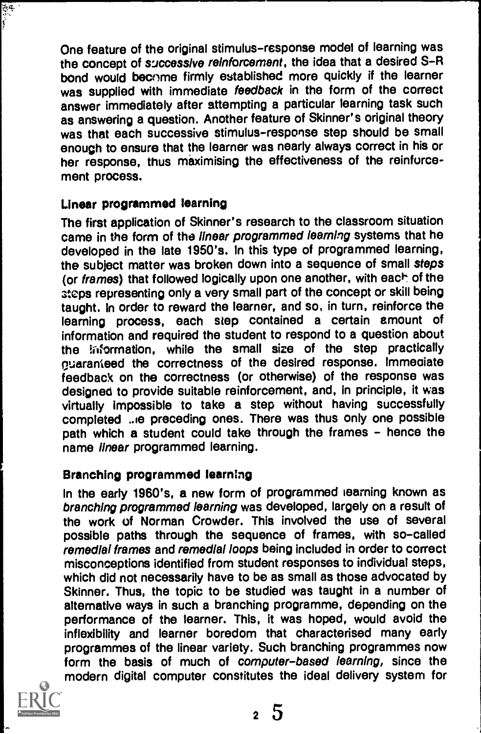One feature of the original stimulus-response model of learning was the concept of successive reinforcement, the idea that a desired S-R bond would become firmly established more quickly if the learner was supplied with immediate feedback in the form of the correct answer immediately after attempting a particular learning task such as answering a question. Another feature of Skinner's original theory was that each successive stimulus-response step should be small enough to ensure that the learner was nearly always correct in his or her response, thus maximising the effectiveness of the reinforcement process.

# Linear programmed learning

The first application of Skinner's research to the classroom situation came in the form of the linear programmed learning systems that he developed in the late 1950's. In this type of programmed learning, the subject matter was broken down into a sequence of small steps (or frames) that followed logically upon one another, with each of the ateps representing only a very small part of the concept or skill being taught. In order to reward the learner, and so, in turn, reinforce the learning process, each step contained a certain amount of information and required the student to respond to a question about the information, while the small size of the step practically guaranteed the correctness of the desired response. Immediate feedback on the correctness (or otherwise) of the response was designed to provide suitable reinforcement, and, in principle, it was virtually impossible to take a step without having successfully completed ..ie preceding ones. There was thus only one possible path which a student could take through the frames - hence the name linear programmed learning.

#### Branching programmed learning

In the early 1960's, a new form of programmed learning known as branching programmed learning was developed, largely on a result of the work of Norman Crowder. This involved the use of several possible paths through the sequence of frames, with so-called remedial frames and remedial loops being included in order to correct misconceptions identified from student responses to individual steps, which did not necessarily have to be as small as those advocated by Skinner. Thus, the topic to be studied was taught in a number of alternative ways in such a branching programme, depending on the performance of the learner. This, it was hoped, would avoid the inflexibility and learner boredom that characterised many early programmes of the linear variety. Such branching programmes now form the basis of much of computer-based learning, since the modern digital computer constitutes the ideal delivery system for



医学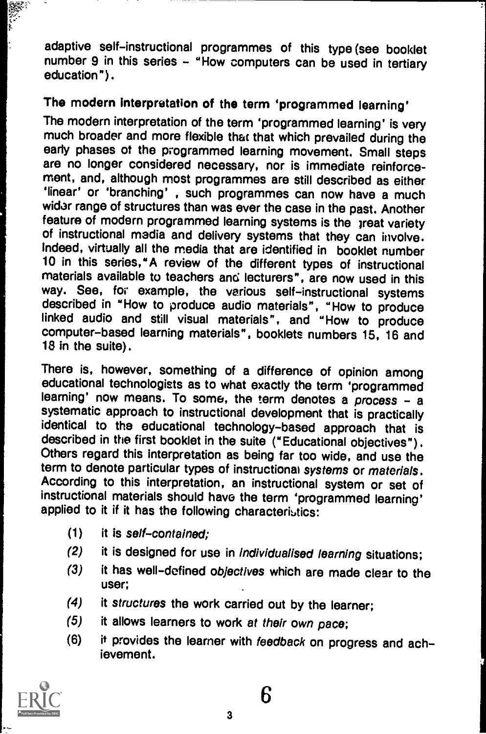adaptive self-instructional programmes of this type (see booklet number 9 in this series - "How computers can be used in tertiary education").

# The modern interpretation of the term 'programmed learning'

The modern interpretation of the term 'programmed learning' is very much broader and more flexible that that which prevailed during the early phases of the programmed learning movement. Small steps are no longer considered necessary, nor is immediate reinforcement, and, although most programmes are still described as either 'linear' or 'branching' , such programmes can now have a much wider range of structures than was ever the case in the past. Another feature of modern programmed learning systems is the great variety of instructional media and delivery systems that they can involve. Indeed, virtually all the media that are identified in booklet number 10 in this series,"A review of the different types of instructional materials available to teachers and lecturers", are now used in this way. See, for example, the various self-instructional systems described in "How to produce audio materials", "How to produce linked audio and still visual materials", and "How to produce computer-based learning materials", booklets numbers 15, 16 and 18 in the suite).

There is, however, something of a difference of opinion among educational technologists as to what exactly the term 'programmed learning' now means. To some, the term denotes a process - a systematic approach to instructional development that is practically identical to the educational technology-based approach that is described in the first booklet in the suite ("Educational objectives"). Others regard this interpretation as being far too wide, and use the term to denote particular types of instructional systems or materials. According to this interpretation, an instructional system or set of instructional materials should have the term 'programmed learning' applied to it if it has the following characteristics:

- $(1)$  it is self-contained:
- (2) it is designed for use in Individualised learning situations;
- (3) it has well-defined objectives which are made clear to the user:
- (4) it structures the work carried out by the learner;
- (5) it allows learners to work at their own pace;
- (6) it provides the learner with feedback on progress and achievement.

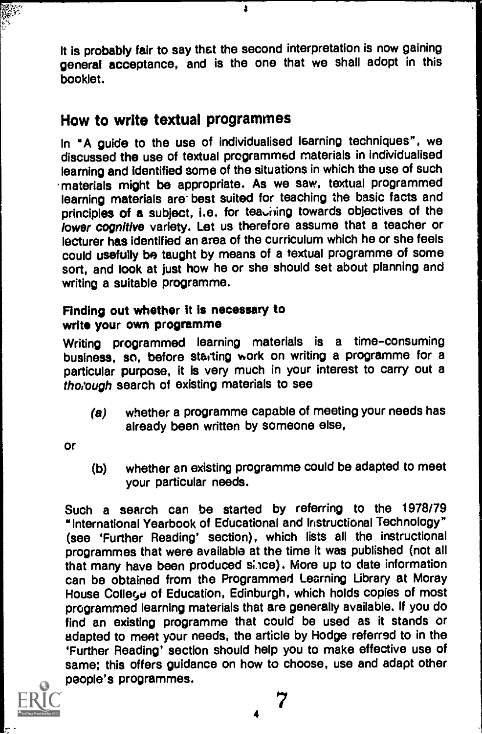It is probably fair to say that the second interpretation is now gaining general acceptance, and is the one that we shall adopt in this booklet.

s

# How to write textual programmes

In "A guide to the use of individualised Isarning techniques", we discussed the use of textual programmed materials in individualised learning and identified some of the situations in which the use of such materials might be appropriate. As we saw, textual programmed learning materials are best suited for teaching the basic facts and principles of a subject, i.e. for teadining towards objectives of the lower cognitive variety. Let us therefore assume that a teacher or lecturer has identified an area of the curriculum which he or she feels could usefully be taught by means of a textual programme of some sort, and look at just how he or she should set about planning and writing a suitable programme.

## Finding out whether it is necessary to write your own programme

Writing programmed learning materials is a time-consuming business, so, before starting work on writing a programme for a particular purpose, it is very much in your interest to carry out a thorough search of existing materials to see

(a) whether a programme capable of meeting your needs has already been written by someone else,

Or

(b) whether an existing programme could be adapted to meet your particular needs.

Such a search can be started by referring to the 1978/79 "International Yearbook of Educational and Instructional Technology" (see 'Further Reading' section), which lists all the instructional programmes that were available at the time it was published (not all that many have been produced slice) . More up to date information can be obtained from the Programmed Learning Library at Moray House College of Education, Edinburgh, which holds copies of most programmed learning materials that are generally available. If you do find an existing programme that could be used as it stands or adapted to meet your needs, the article by Hodge referred to in the 'Further Reading' section should help you to make effective use of same; this offers guidance on how to choose, use and adapt other people's programmes.



7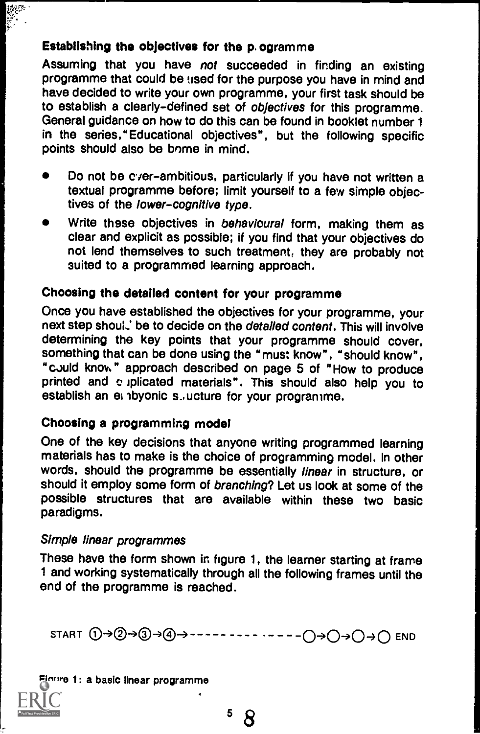# Establishing the objectives for the p. ogramme

Assuming that you have not succeeded in finding an existing programme that could be used for the purpose you have in mind and have decided to write your own programme, your first task should be to establish a clearly-defined set of objectives for this programme. General guidance on how to do this can be found in booklet number 1 in the series,"Educational objectives", but the following specific points should also be borne in mind.

- Do not be cyer-ambitious, particularly if you have not written a textual programme before; limit yourself to a few simple objectives of the lower-cognitive type.
- Write these objectives in behavioural form, making them as clear and explicit as possible; if you find that your objectives do not lend themselves to such treatment, they are probably not suited to a programmed learning approach.

# Choosing the detailed content for your programme

Once you have established the objectives for your programme, your next step shoul.' be to decide on the detailed content. This will involve determining the key points that your programme should cover, something that can be done using the "must know", "should know", "could know" approach described on page 5 of "How to produce printed and c iplicated materials". This should also help you to establish an ei ibyonic s..ucture for your programme.

# Choosing a programming model

One of the key decisions that anyone writing programmed learning materials has to make is the choice of programming model. In other words, should the programme be essentially linear in structure, or should it employ some form of branching? Let us look at some of the possible structures that are available within these two basic paradigms.

#### Simple linear programmes

These have the form shown in figure 1, the learner starting at frame 1 and working systematically through all the following frames until the end of the programme is reached.

START 0--)®40-3®) 0->04040 END

#### Figure 1: a basic linear programme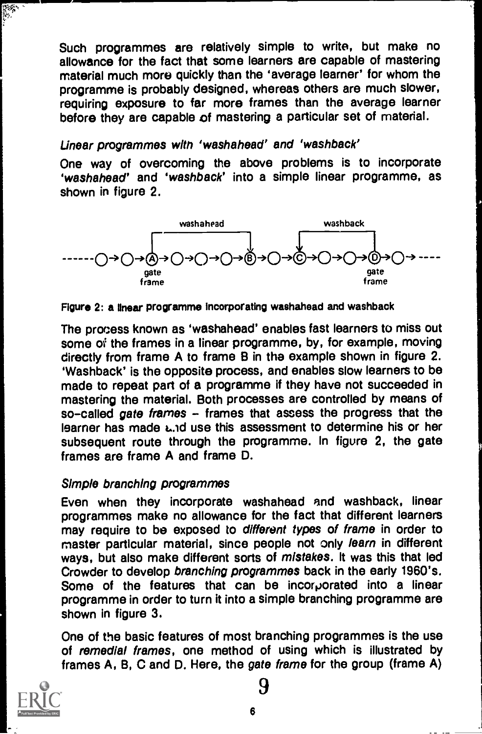Such programmes are relatively simple to write, but make no allowance for the fact that some learners are capable of mastering material much more quickly than the 'average learner' for whom the programme is probably designed, whereas others are much slower, requiring exposure to far more frames than the average learner before they are capable of mastering a particular set of material.

#### Linear programmes with `washahead' and `washback'

One way of overcoming the above problems is to incorporate 'washahead' and 'washback' into a simple linear programme, as shown in figure 2.



#### Figure 2: a linear programme Incorporating washahead and washback

The process known as 'washahead' enables fast learners to miss out some of the frames in a linear programme, by, for example, moving directly from frame A to frame B in the example shown in figure 2. 'Washback' is the opposite process, and enables slow learners to be made to repeat part of a programme if they have not succeeded in mastering the material. Both processes are controlled by means of so-called gate frames - frames that assess the progress that the learner has made Lid use this assessment to determine his or her subsequent route through the programme. In figure 2, the gate frames are frame A and frame D.

#### Simple branching programmes

Even when they incorporate washahead and washback, linear programmes make no allowance for the fact that different learners may require to be exposed to different types of frame in order to master particular material, since people not only learn in different ways, but also make different sorts of mistakes. It was this that led Crowder to develop branching programmes back in the early 1960's. Some of the features that can be incorporated into a linear programme in order to turn it into a simple branching programme are shown in figure 3.

One of the basic features of most branching programmes is the use of remedial frames, one method of using which is illustrated by frames A, B, C and D. Here, the gate frame for the group (frame A)

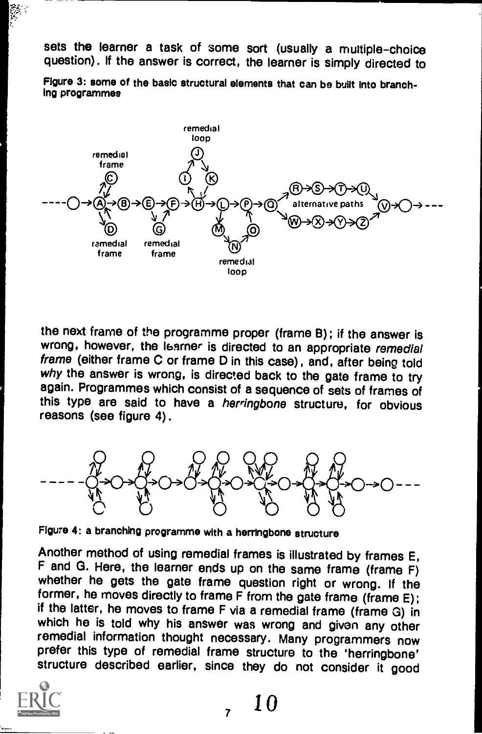sets the learner a task of some sort (usually a multiple-choice question). If the answer is correct, the learner is simply directed to

Figure 3: some of the basic structural elements that can be built Into branching programmes



the next frame of the programme proper (frame B); if the answer is wrong, however, the Isarner is directed to an appropriate remedial frame (either frame C or frame D in this case), and, after being told why the answer is wrong, is directed back to the gate frame to try again. Programmes which consist of a sequence of sets of frames of this type are said to have a herringbone structure, for obvious reasons (see figure 4).



Figure 4: a branching programme with a herringbone structure

Another method of using remedial frames is illustrated by frames E, F and G. Here, the learner ends up on the same frame (frame F) whether he gets the gate frame question right or wrong. If the former, he moves directly to frame F from the gate frame (frame E);<br>if the latter, he moves to frame F via a remedial frame (frame G) in which he is told why his answer was wrong and given any other remedial information thought necessary. Many programmers now prefer this type of remedial frame structure to the 'herringbone' structure described earlier, since they do not consider it good



 $, 10$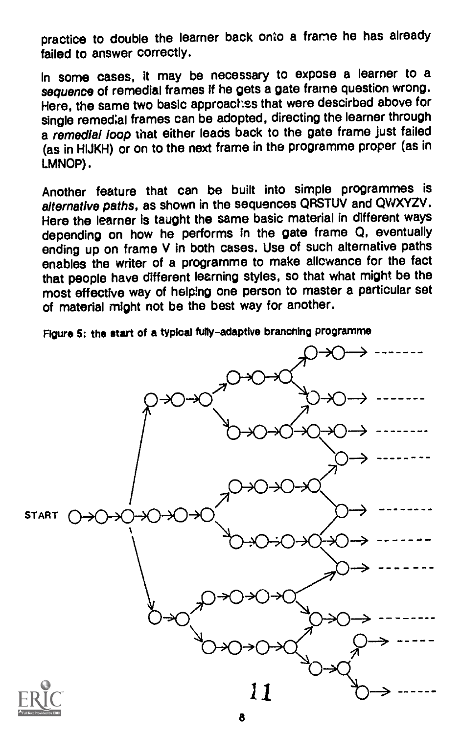practice to double the learner back onto a frame he has already failed to answer correctly.

In some cases, it may be necessary to expose a learner to a sequence of remedial frames if he gets a gate frame question wrong. Here, the same two basic approaches that were descirbed above for single remedial frames can be adopted, directing the learner through a remedial loop that either leads back to the gate frame just failed (as in HIJKH) or on to the next frame in the programme proper (as in LMNOP).

Another feature that can be built into simple programmes is alternative paths, as shown in the sequences QRSTUV and QWXYZV. Here the learner is taught the same basic material in different ways depending on how he performs in the gate frame Q, eventually ending up on frame V in both cases. Use of such alternative paths enables the writer of a programme to make allowance for the fact that people have different learning styles, so that what might be the most effective way of helping one person to master a particular set of material might not be the best way for another.

Figure 5: the start of a typical fully-adaptive branching programme

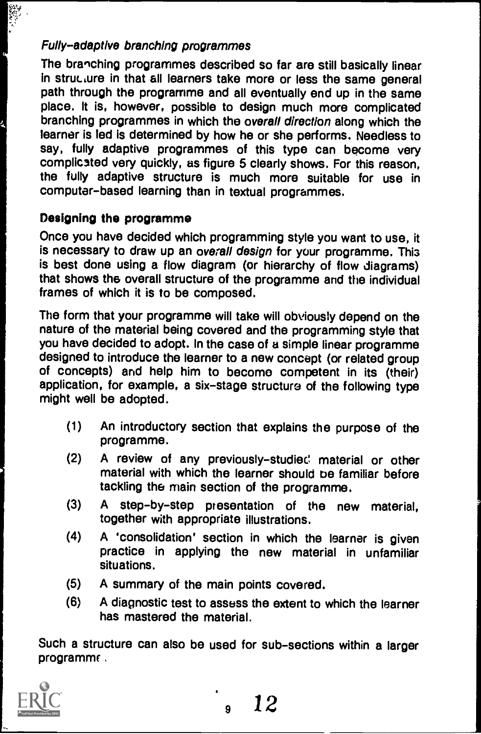# Fully-adaptive branching programmes

The branching programmes described so far are still basically linear in structure in that all learners take more or less the same general path through the programme and all eventually end up in the same place. It is, however, possible to design much more complicated branching programmes in which the overall direction along which the learner is led is determined by how he or she performs. Needless to say, fully adaptive programmes of this type can become very complicated very quickly, as figure 5 clearly shows. For this reason, the fully adaptive structure is much more suitable for use in computer-based learning than in textual programmes.

# Designing the programme

Once you have decided which programming style you want to use, it is necessary to draw up an overall design for your programme. This is best done using a flow diagram (or hierarchy of flow diagrams) that shows the overall structure of the programme and the individual frames of which it is to be composed.

The form that your programme will take will obviously depend on the nature of the material being covered and the programming style that you have decided to adopt. In the case of a simple linear programme designed to introduce the learner to a new concept (or related group of concepts) and help him to become competent in its (their) application, for example, a six-stage structure of the following type might well be adopted.

- (1) An introductory section that explains the purpose of the programme.
- (2) A review of any previously-studied material or other material with which the learner should be familiar before tackling the main section of the programme.
- (3) A step-by-step presentation of the new material, together with appropriate illustrations.
- (4) A 'consolidation' section in which the learner is given practice in applying the new material in unfamiliar situations.
- (5) A summary of the main points covered.
- (6) A diagnostic test to assess the extent to which the learner has mastered the material.

Such a structure can also be used for sub-sections within a larger programme.

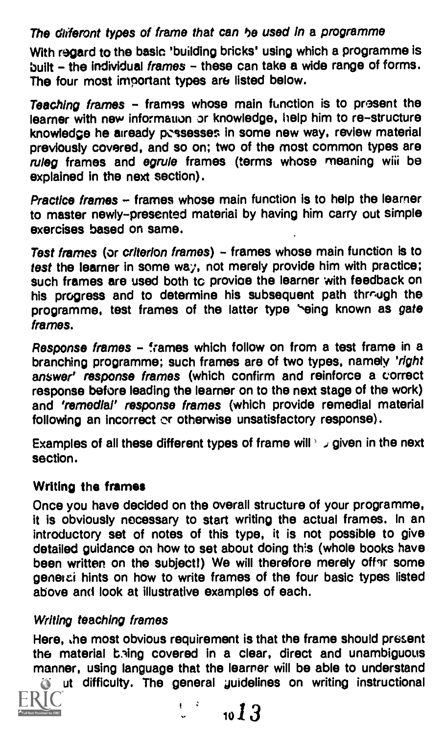# The diiferont types of frame that can he used in a programme

With regard to the basic 'building bricks' using which a programme is built - the individual frames - these can take a wide range of forms. The four most important types are listed below.

Teaching frames - frames whose main function is to present the learner with new information or knowledge, help him to re-structure knowledge he already pcssesses in some new way, review material previously covered, and so on; two of the most common types are ruleg frames and egrule frames (terms whose meaning wiii be explained in the next section).

Practice frames  $-$  frames whose main function is to help the learner to master newly-presented material by having him carry out simple exercises based on same.

Test frames (or criterion frames) - frames whose main function is to test the learner in some way, not merely provide him with practice; such frames are used both to provide the learner with feedback on his progress and to determine his subsequent path through the programme, test frames of the latter type "eing known as gate frames.

Response frames - frames which follow on from a test frame in a branching programme; such frames are of two types, namely 'right answer' response frames (which confirm and reinforce a correct response before leading the learner on to the next stage of the work) and 'remedial' response frames (which provide remedial material following an incorrect or otherwise unsatisfactory response).

Examples of all these different types of frame will  $\frac{1}{2}$  given in the next section.

# Writing the frames

Once you have decided on the overall structure of your programme, it is obviously necessary to start writing the actual frames. In an introductory set of notes of this type, it is not possible to give detailed guidance on how to set about doing this (whole books have been written on the subject!) We will therefore merely offer some genetei hints on how to write frames of the four basic types listed above and look at illustrative examples of each.

# Writing teaching frames

Here, the most obvious requirement is that the frame should present the material bring covered in a clear, direct and unambiguous manner, using language that the learner will be able to understand

in ut difficulty. The general guidelines on writing instructional



$$
\downarrow
$$
 to  $13$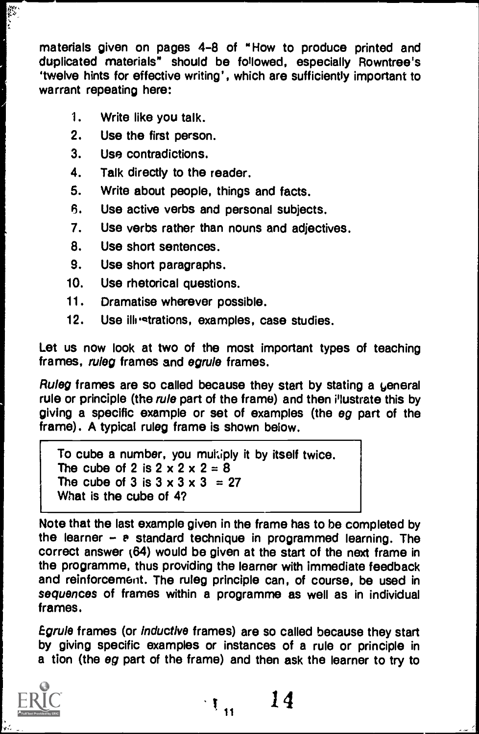materials given on pages 4-8 of "How to produce printed and duplicated materials" should be followed, especially Rowntree's 'twelve hints for effective writing', which are sufficiently important to warrant repeating here:

1. Write like you talk.

1

- 2. Use the first person.
- 3. Use contradictions.
- 4. Talk directly to the reader.
- 5. Write about people, things and facts.
- 6. Use active verbs and personal subjects.
- 7. Use verbs rather than nouns and adjectives.
- 8. Use short sentences.
- 9. Use short paragraphs.
- 10. Use rhetorical questions.
- 11. Dramatise wherever possible.
- 12. Use illestrations, examples, case studies.

Let us now look at two of the most important types of teaching frames, ruleg frames and egrule frames.

Ruleg frames are so called because they start by stating a general rule or principle (the rule part of the frame) and then i'lustrate this by giving a specific example or set of examples (the eg part of the frame). A typical ruleg frame is shown below.

To cube a number, you multiply it by itself twice. The cube of 2 is  $2 \times 2 \times 2 = 8$ The cube of 3 is  $3 \times 3 \times 3 = 27$ What is the cube of 4?

Note that the last example given in the frame has to be completed by the learner  $-$  a standard technique in programmed learning. The correct answer (64) would be given at the start of the next frame in the programme, thus providing the learner with immediate feedback and reinforcement. The ruleg principle can, of course, be used in sequences of frames within a programme as well as in individual frames.

Egrule frames (or Inductive frames) are so called because they start by giving specific examples or instances of a rule or principle in a tion (the eg part of the frame) and then ask the learner to try to



 $t_{\rm H} = 14$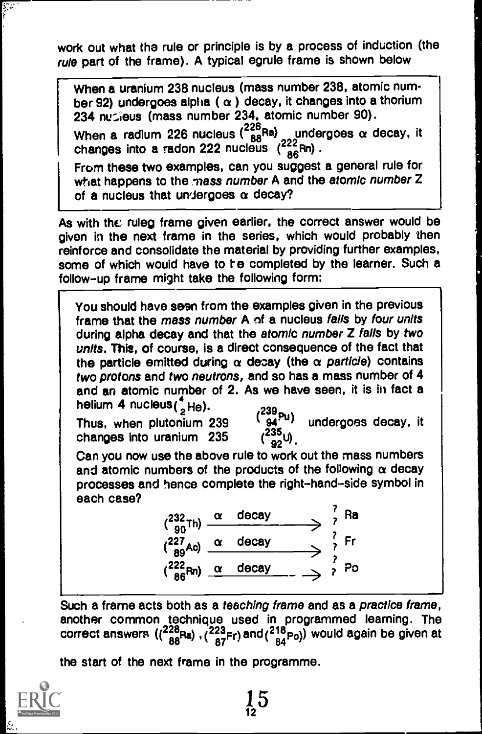work out what the rule or principle is by a process of induction (the rule part of the frame). A typical egrule frame is shown below

When a uranium 238 nucleus (mass number 238, atomic number 92) undergoes alpha ( $\alpha$ ) decay, it changes into a thorium 234 nucleus (mass number 234, atomic number 90).

When a radium 226 nucleus  $\binom{226}{88}$ Ra) <sub>22</sub> undergoes  $\alpha$  decay, it changes into a radon 222 nucleus  $\binom{222}{86}$ Rn).

From these two examples, can you suggest a general rule for what happens to the mass number A and the atomic number Z of a nucleus that undergoes  $\alpha$  decay?

As with the ruleg frame given earlier, the correct answer would be given in the next frame in the series, which would probably then reinforce and consolidate the material by providing further examples, some of which would have to re completed by the learner. Such a follow-up frame might take the following form:

You should have seen from the examples given in the previous frame that the mass number A of a nucleus falls by four units during alpha decay and that the atomic number Z falls by two units. This, of course, is a direct consequence of the fact that the particle emitted during  $\alpha$  decay (the  $\alpha$  particle) contains two protons and two neutrons, and so has a mass number of 4 and an atomic number of 2. As we have seen, it is in fact a helium 4 nucleus( ${}_{2}^{4}$ He).<br>Thus, when plutonium 239  $(239 - 24)$  undergoes decay, it

Thus, when plutonium 239  $\frac{1}{2}$  sq<sup>ru</sup>)<br>changes into uranium 235  $\frac{235}{200}$ changes into uranium 235

 $\begin{array}{c} \begin{array}{c} \text{C} \\ \text{C} \end{array} \end{array}$  Can you now use the above rule to work out the mass numbers and atomic numbers of the products of the following  $\alpha$  decay processes and hence complete the right-hand-side symbol in each case?

> $\chi^{232}$ <sub>00</sub>Th)  $\frac{\alpha \text{ decay}}{2}$  and  $\chi^{2}$  $(227<sub>AO</sub>)$   $\alpha$  decay  $\frac{1}{2}$  Fr  $\left(\frac{222}{86}Rn\right)$   $\alpha$  decay  $\rightarrow$   $\rightarrow$   $\gamma$  Po  $\frac{1}{2}$  Po  $\frac{1}{2}$

Such a frame acts both as a teaching frame and as a practice frame, another common technique used in programmed learning. The correct answers  $((\frac{228}{88}Ra), (\frac{223}{87}Fr)$  and  $(\frac{218}{84}Po)$  would again be given at

 $15 \,$ 

the start of the next frame in the programme.



ķ.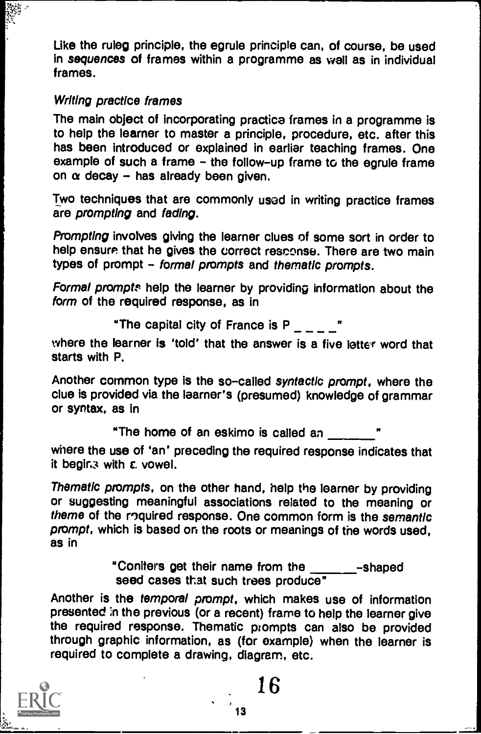Like the ruleg principle, the egrule principle can, of course, be used in sequences of frames within a programme as wall as in individual frames.

#### Writing practice frames

The main object of incorporating practice frames in a programme is to help the learner to master a principle, procedure, etc. after this has been introduced or explained in earlier teaching frames. One example of such a frame - the follow-up frame to the egrule frame on  $\alpha$  decay - has already been given.

Two techniques that are commonly used in writing practice frames are prompting and fading.

Prompting involves giving the learner clues of some sort in order to help ensure that he gives the correct resconse. There are two main types of prompt - formal prompts and thematic prompts.

Formal prompts help the learner by providing information about the form of the required response, as in

"The capital city of France is P "

where the learner is 'told' that the answer is a five letter word that starts with P.

Another common type is the so-called syntactic prompt, where the clue is provided via the learner's (presumed) knowledge of grammar or syntax, as in

> "The home of an eskimo is called an I,

where the use of 'an' preceding the required response indicates that it beging with  $\varepsilon$  vowel.

Thematic prompts, on the other hand, help the learner by providing or suggesting meaningful associations related to the meaning or theme of the roquired response. One common form is the semantic prompt, which is based on the roots or meanings of the words used, as in

> "Conifers get their name from the -shaped seed cases that such trees produce"

Another is the temporal prompt, which makes use of information presented :n the previous (or a recent) frame to help the learner give the required response. Thematic prompts can also be provided through graphic information, as (for example) when the learner is required to complete a drawing, diagram, etc.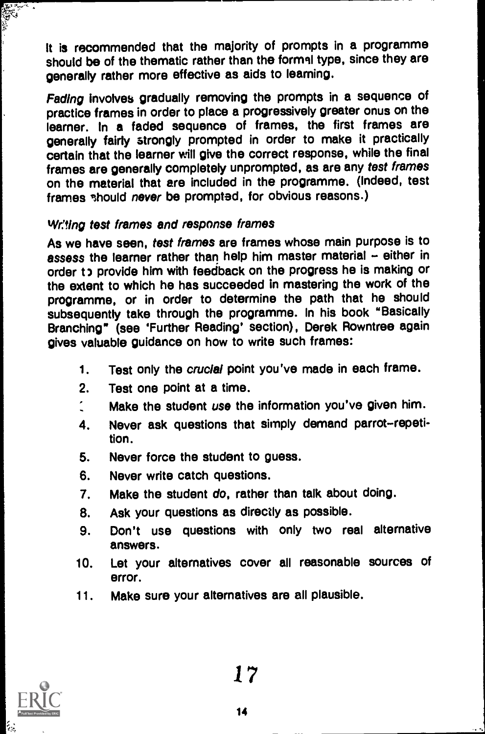it is recommended that the majority of prompts in a programme should be of the thematic rather than the formal type, since they are generally rather more effective as aids to learning.

Fading involves gradually removing the prompts in a sequence of practice frames in order to place a progressively greater onus on the learner. In a faded sequence of frames, the first frames are generally fairly strongly prompted in order to make it practically certain that the learner will give the correct response, while the final frames are generally completely unprompted, as are any test frames on the material that are included in the programme. (Indeed, test frames should never be prompted, for obvious reasons.)

#### Wr:ting test frames and response frames

As we have seen, test frames are frames whose main purpose is to assess the learner rather than help him master material - either in order to provide him with feedback on the progress he is making or the extent to which he has succeeded in mastering the work of the programme, or in order to determine the path that he should subsequently take through the programme. In his book "Basically Branching" (see 'Further Reading' section), Derek Rowntree again gives valuable guidance on how to write such frames:

- 1. Test only the crucial point you've made in each frame.
- 2. Test one point at a time.
- Make the student use the information you've given him.
- 4. Never ask questions that simply demand parrot-repetition.
- 5. Never force the student to guess.
- 6. Never write catch questions.
- 7. Make the student do, rather than talk about doing.
- 8. Ask your questions as directly as possible.
- 9. Don't use questions with only two real alternative answers.
- 10. Let your alternatives cover all reasonable sources of error.
- 11. Make sure your alternatives are all plausible.



**Alla**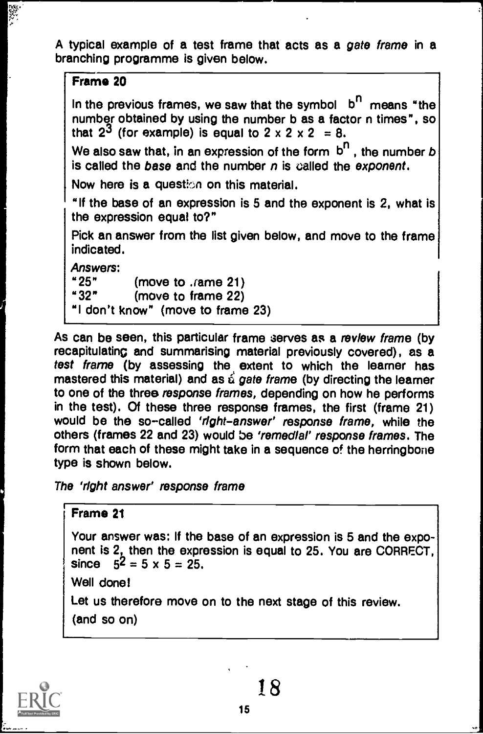A typical example of a test frame that acts as a gate frame in a branching programme is given below.

#### Frame 20

in Ba

In the previous frames, we saw that the symbol  $b^{n}$  means "the number obtained by using the number b as a factor n times", so that  $2^3$  (for example) is equal to  $2 \times 2 \times 2 = 8$ .

We also saw that, in an expression of the form  $b^n$ , the number b is called the base and the number  $n$  is called the exponent.

Now here is a question on this material.

"If the base of an expression is 5 and the exponent is 2, what is the expression equal to?"

Pick an answer from the list given below, and move to the frame indicated.

Answers:<br>"25"

"25" (move to Jame 21)<br>"32" (move to frame 22)

(move to frame 22)

"I don't know" (move to frame 23)

As can be seen, this particular frame serves as a review frame (by recapitulating and summarising material previously covered), as a test frame (by assessing the extent to which the learner has mastered this material) and as  $\acute{\text{a}}$  gate frame (by directing the learner to one of the three response frames, depending on how he performs in the test). Of these three response frames, the first (frame 21) would be the so-called 'right-answer' response frame, while the others (frames 22 and 23) would be 'remedial' response frames. The form that each of these might take in a sequence of the herringbone type is shown below.

The 'right answer' response frame

#### Frame 21

Your answer was: If the base of an expression is 5 and the exponent is 2, then the expression is equal to 25. You are CORRECT, since  $5^2 = 5 \times 5 = 25$ .

Well done!

Let us therefore move on to the next stage of this review. (and so on)



Is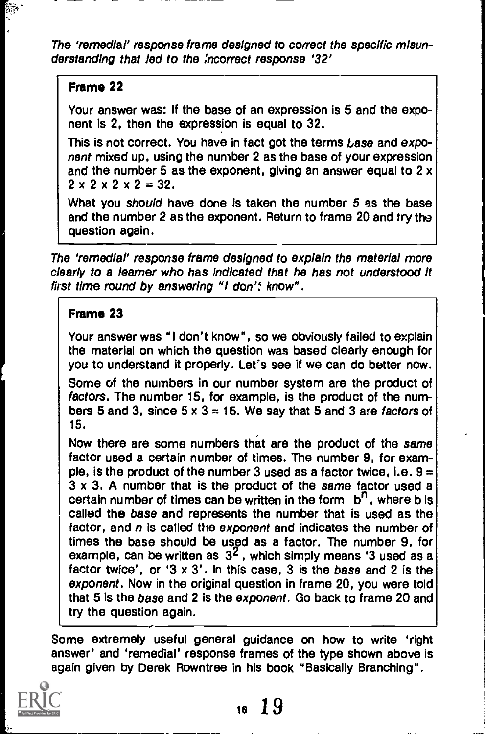The 'remedial' response frame designed to correct the specific misunderstanding that led to the ,'ncorrect response '32'

# Frame 22

 $\frac{1}{2}$ 

Your answer was: If the base of an expression is 5 and the exponent is 2, then the expression is equal to 32.

This is not correct. You have in fact got the terms Lase and exponent mixed up, using the number 2 as the base of your expression and the number 5 as the exponent, giving an answer equal to 2 x  $2 \times 2 \times 2 \times 2 = 32$ .

What you should have done is taken the number 5 as the base and the number 2 as the exponent. Return to frame 20 and try the question again.

The 'remedial' response frame designed to explain the material more clearly to a learner who has Indicated that he has not understood it first time round by answering "I don': know".

# Frame 23

Your answer was "I don't know", so we obviously failed to explain the material on which the question was based clearly enough for you to understand it properly. Let's see if we can do better now.

Some of the numbers in our number system are the product of factors. The number 15, for example, is the product of the numbers 5 and 3, since  $5 \times 3 = 15$ . We say that 5 and 3 are factors of 15.

Now there are some numbers that are the product of the same factor used a certain number of times. The number 9, for example, is the product of the number 3 used as a factor twice, i.e.  $9 =$ 3 x 3. A number that is the product of the same factor used a certain number of times can be written in the form  $b^{n}$ , where b is called the base and represents the number that is used as the factor, and  $n$  is called the exponent and indicates the number of times the base should be used as a factor. The number 9, for example, can be written as  $3^2$ , which simply means '3 used as a factor twice', or '3 x 3'. In this case, 3 is the base and 2 is the exponent. Now in the original question in frame 20, you were told that 5 is the base and 2 is the exponent. Go back to frame 20 and try the question again.

Some extremely useful general guidance on how to write 'right answer' and 'remedial' response frames of the type shown above is again given by Derek Rowntree in his book "Basically Branching".

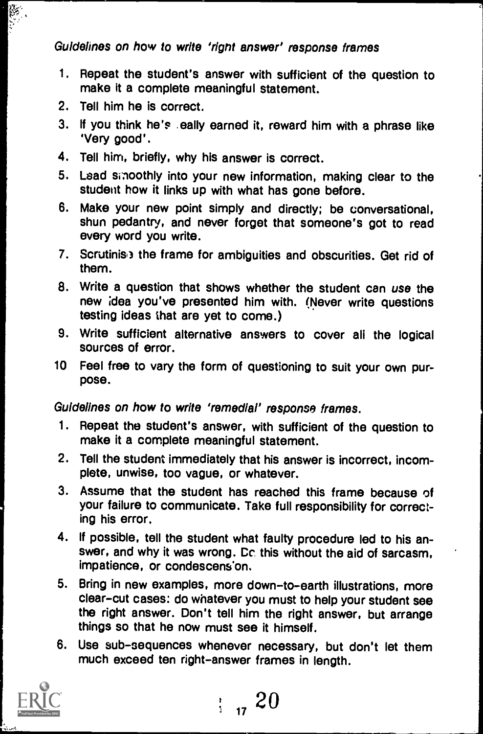# Guidelines on how to write 'right answer' response frames

- 1. Repeat the student's answer with sufficient of the question to make it a complete meaningful statement.
- 2. Tell him he is correct.
- 3. If you think he's ,eally earned it, reward him with a phrase like 'Very good'.
- 4. Tell him, briefly, why his answer is correct.
- 5. Lead smoothly into your new information, making clear to the student how it links up with what has gone before.
- 6. Make your new point simply and directly; be conversational, shun pedantry, and never forget that someone's got to read every word you write.
- 7. Scrutinis) the frame for ambiguities and obscurities. Get rid of them.
- 8. Write a question that shows whether the student can use the new idea you've presented him with. (Never write questions testing ideas that are yet to come.)
- 9. Write sufficient alternative answers to cover all the logical sources of error.
- 10 Feel free to vary the form of questioning to suit your own purpose.

Guidelines on how to write 'remedial' response frames.

- <sup>1</sup> Repeat the student's answer, with sufficient of the question to make it a complete meaningful statement.
- 2. Tell the student immediately that his answer is incorrect, incomplete, unwise, too vague, or whatever.
- 3. Assume that the student has reached this frame because of your failure to communicate. Take full responsibility for correcting his error.
- 4. If possible, tell the student what faulty procedure led to his answer, and why it was wrong. Cc this without the aid of sarcasm, impatience, or condescens'on.
- 5. Bring in new examples, more down-to-earth illustrations, more clear-cut cases: do whatever you must to help your student see the right answer. Don't tell him the right answer, but arrange things so that he now must see it himself.
- 6. Use sub-sequences whenever necessary, but don't let them much exceed ten right-answer frames in length.



 $\frac{1}{11}$  20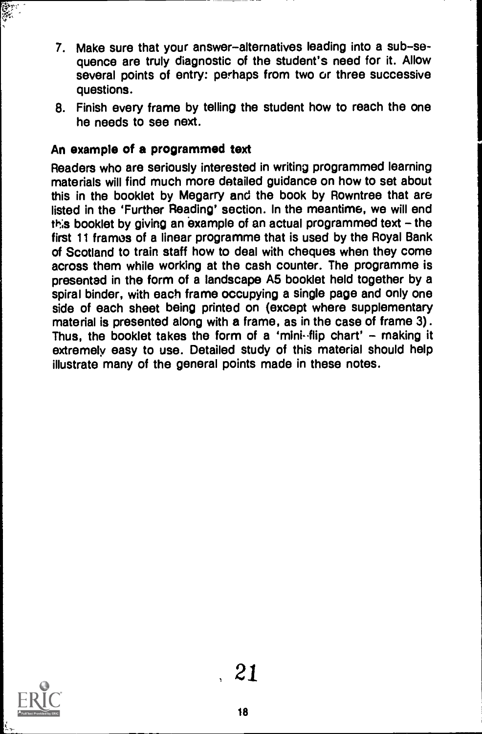- 7. Make sure that your answer-alternatives leading into a sub-sequence are truly diagnostic of the student's need for it. Allow several points of entry: perhaps from two or three successive questions.
- 8. Finish every frame by telling the student how to reach the one he needs to see next.

# An example of a programmed text

Readers who are seriously interested in writing programmed learning materials will find much more detailed guidance on how to set about this in the booklet by Megarry and the book by Rowntree that are listed in the 'Further Reading' section. In the meantime, we will end this booklet by giving an example of an actual programmed text - the first 11 framos of a linear programme that is used by the Royal Bank of Scotland to train staff how to deal with cheques when they come across them while working at the cash counter. The programme is presented in the form of a landscape A5 booklet held together by a spiral binder, with each frame occupying a single page and only one side of each sheet being printed on (except where supplementary material is presented along with a frame, as in the case of frame 3). Thus, the booklet takes the form of a 'mini-flip chart' - making it extremely easy to use. Detailed study of this material should help illustrate many of the general points made in these notes.



المجلي<br>جون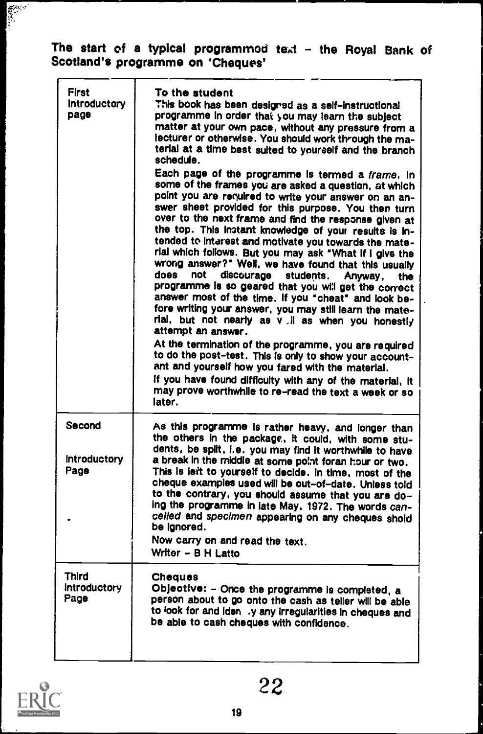# The start of a typical programmod text - the Royal Bank of Scotland's programme on 'Cheques'

| <b>First</b><br><b>Introductory</b><br>page | To the student<br>This book has been designed as a self-instructional<br>programme in order that you may learn the subject<br>matter at your own pace, without any pressure from a<br>lecturer or otherwise. You should work through the ma-<br>terial at a time best suited to yourself and the branch<br>schedule.<br>Each page of the programme is termed a frame. In<br>some of the frames you are asked a question, at which<br>point you are required to write your answer on an an-<br>swer sheet provided for this purpose. You then turn<br>over to the next frame and find the response given at<br>the top. This instant knowledge of your results is in-<br>tended to interest and motivate you towards the mate-<br>rial which follows. But you may ask "What If i give the<br>wrong answer?" Well, we have found that this usually<br>does<br>not<br>discourage<br>students.<br>Anyway,<br>the<br>programme is so geared that you will get the correct<br>answer most of the time. If you "cheat" and look be-<br>fore writing your answer, you may still learn the mate-<br>rial, but not nearly as v il as when you honestly<br>attempt an answer.<br>At the termination of the programme, you are required<br>to do the post-test. This is only to show your account-<br>ant and yourself how you fared with the material.<br>If you have found difficulty with any of the material, it<br>may prove worthwhile to re-read the text a week or so<br>later. |
|---------------------------------------------|-----------------------------------------------------------------------------------------------------------------------------------------------------------------------------------------------------------------------------------------------------------------------------------------------------------------------------------------------------------------------------------------------------------------------------------------------------------------------------------------------------------------------------------------------------------------------------------------------------------------------------------------------------------------------------------------------------------------------------------------------------------------------------------------------------------------------------------------------------------------------------------------------------------------------------------------------------------------------------------------------------------------------------------------------------------------------------------------------------------------------------------------------------------------------------------------------------------------------------------------------------------------------------------------------------------------------------------------------------------------------------------------------------------------------------------------------------------------------------|
| Second<br><b>Introductory</b><br>Page       | As this programme is rather heavy, and longer than<br>the others in the package, it could, with some stu-<br>dents, be spilt, i.e. you may find it worthwhile to have<br>a break in the middle at some point foran hour or two.<br>This is left to yourself to decide. In time, most of the<br>cheque examples used will be out-of-date. Unless told<br>to the contrary, you should assume that you are do-<br>ing the programme in late May, 1972. The words can-<br>celled and specimen appearing on any cheques shold<br>be lanored.<br>Now carry on and read the text.<br>Writer - B H Latto                                                                                                                                                                                                                                                                                                                                                                                                                                                                                                                                                                                                                                                                                                                                                                                                                                                                            |
| Third<br><b>Introductory</b><br>Page        | <b>Cheques</b><br>Objective: - Once the programme is completed, a<br>person about to go onto the cash as teller will be able<br>to look for and iden .y any irregularities in cheques and<br>be able to cash cheques with confidence.                                                                                                                                                                                                                                                                                                                                                                                                                                                                                                                                                                                                                                                                                                                                                                                                                                                                                                                                                                                                                                                                                                                                                                                                                                       |



**REAL**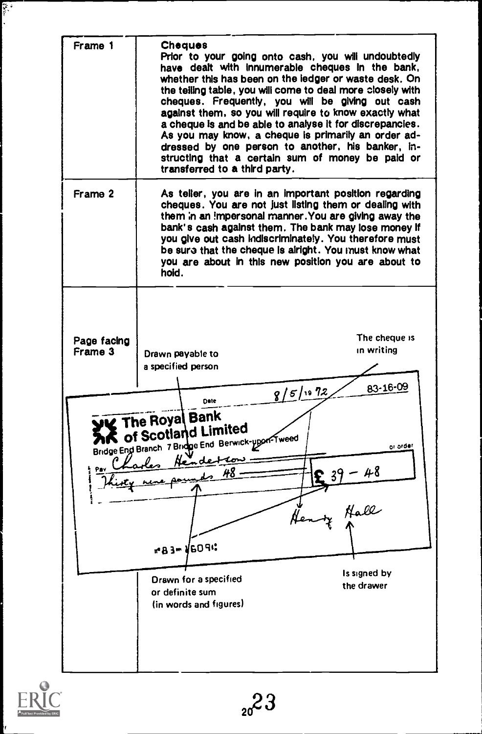Frame 1 **Cheques**<br> **Prior to your going onto cash, you will undoubtedly** have dealt with Innumerable cheques In the bank, whether this has been on the ledger or waste desk. On the telling table, you will come to deal more closely with cheques. Frequently, you will be giving out cash against them, so you will require to know exactly what a cheque Is and be able to analyse It for discrepancies. As you may know, a cheque is primarily an order ad-<br>dressed by one person to another, his banker, instructing that a certain sum of money be paid or transferred to a third party. Frame 2 | As teller, you are in an important position regarding cheques. You are not just listing them or dealing with them in an impersonal manner. You are giving away the bank's cash against them. The bank may lose money If you give out cash indiscriminately. You therefore must be sura that the cheque Is alright. You must know what you are about in this new position you are about to hold. The cheque is Page facing in writing Drawn payable to a specified person Date  $8/5/19$  72 83-16-09 **STAR The Royal Bank**<br>**Bridge Eng Branch 7 Bridge End Berwick-upon-Tweed The Royal Bank**<br>AK of Scotland Limited of Scotland Limited Bridge End Branch 7 Bridge End Berwick-ypon or order Thirty were possible 48  $i =$ ma3m V609: Is signed by Drawn for a specified the drawer or definite sum (in words and figures)

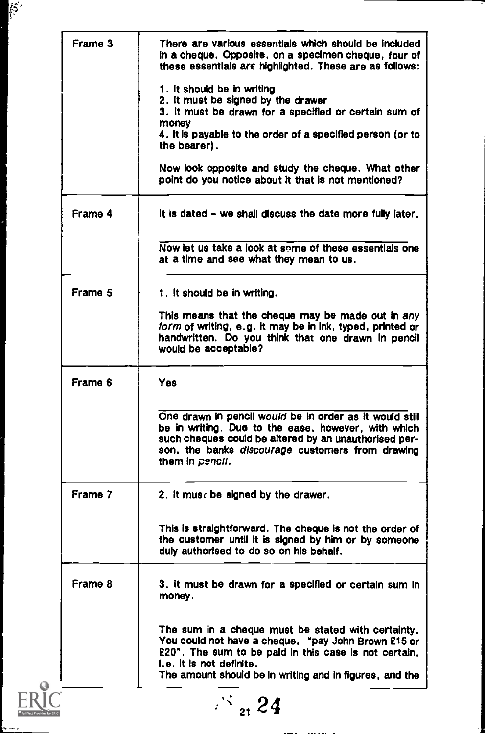| Frame 3        | There are various essentials which should be included<br>in a cheque. Opposite, on a specimen cheque, four of<br>these essentials are highlighted. These are as follows:                                                                                  |
|----------------|-----------------------------------------------------------------------------------------------------------------------------------------------------------------------------------------------------------------------------------------------------------|
|                | 1. It should be in writing                                                                                                                                                                                                                                |
|                | 2. It must be signed by the drawer                                                                                                                                                                                                                        |
|                | 3. It must be drawn for a specified or certain sum of                                                                                                                                                                                                     |
|                | money                                                                                                                                                                                                                                                     |
|                | 4, it is payable to the order of a specified person (or to<br>the bearer).                                                                                                                                                                                |
|                | Now look opposite and study the cheque. What other<br>point do you notice about it that is not mentioned?                                                                                                                                                 |
| Frame 4        | It is dated – we shall discuss the date more fully later.                                                                                                                                                                                                 |
|                | Now let us take a look at some of these essentials one<br>at a time and see what they mean to us.                                                                                                                                                         |
| Frame 5        | 1. It should be in writing.                                                                                                                                                                                                                               |
|                | This means that the cheque may be made out in any<br>form of writing, e.g. it may be in ink, typed, printed or<br>handwritten. Do you think that one drawn in pencil<br>would be acceptable?                                                              |
| Frame 6        | Yes:                                                                                                                                                                                                                                                      |
|                | One drawn in pencil would be in order as it would still<br>be in writing. Due to the ease, however, with which<br>such cheques could be altered by an unauthorised per-<br>son, the banks discourage customers from drawing<br>them in pencil.            |
| Frame 7        | 2. It must be signed by the drawer.                                                                                                                                                                                                                       |
|                | This is straightforward. The cheque is not the order of<br>the customer until it is signed by him or by someone<br>duly authorised to do so on his behalf.                                                                                                |
| <b>Frame 8</b> | 3. It must be drawn for a specified or certain sum in<br>money.                                                                                                                                                                                           |
|                | The sum in a cheque must be stated with certainty.<br>You could not have a cheque, "pay John Brown £15 or<br>£20". The sum to be paid in this case is not certain,<br>I.e. it is not definite.<br>The amount should be in writing and in figures, and the |
|                | $\frac{1}{21}$ 24                                                                                                                                                                                                                                         |

 $-$ 

 $\sim$ 

 $\mathbb{S}^2$ 

 $\frac{1}{2}$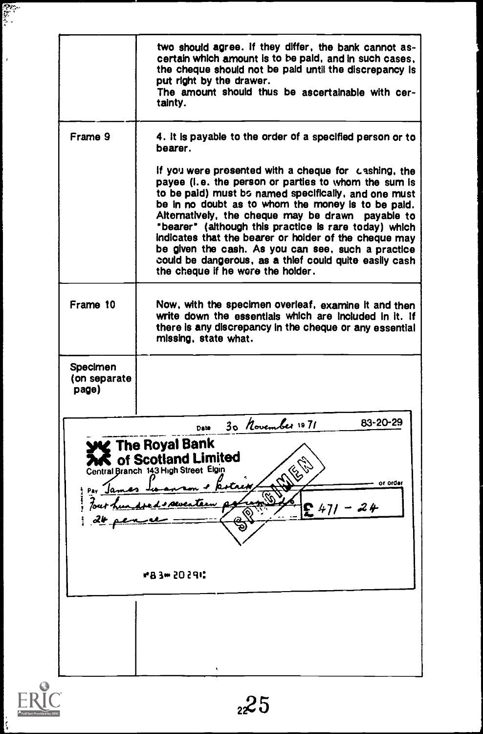|                                                                                         | two should agree. If they differ, the bank cannot as-<br>certain which amount is to be paid, and in such cases,<br>the cheque should not be paid until the discrepancy is<br>put right by the drawer.<br>The amount should thus be ascertainable with cer-<br>tainty.                                                                                                                                                                                                                                                                                                                                                          |
|-----------------------------------------------------------------------------------------|--------------------------------------------------------------------------------------------------------------------------------------------------------------------------------------------------------------------------------------------------------------------------------------------------------------------------------------------------------------------------------------------------------------------------------------------------------------------------------------------------------------------------------------------------------------------------------------------------------------------------------|
| Frame 9                                                                                 | 4. It is payable to the order of a specified person or to<br>bearer.<br>If you were presented with a cheque for cashing, the<br>payee (i.e. the person or parties to whom the sum is<br>to be paid) must bs named specifically, and one must<br>be in no doubt as to whom the money is to be paid.<br>Alternatively, the cheque may be drawn payable to<br>"bearer" (although this practice is rare today) which<br>indicates that the bearer or holder of the cheque may<br>be given the cash. As you can see, such a practice<br>could be dangerous, as a thlef could quite easily cash<br>the cheque if he were the holder. |
| Frame 10                                                                                | Now, with the specimen overleaf, examine it and then<br>write down the essentials which are included in it. If<br>there is any discrepancy in the cheque or any essential<br>missing, state what.                                                                                                                                                                                                                                                                                                                                                                                                                              |
| Specimen<br>(on separate<br>page)                                                       |                                                                                                                                                                                                                                                                                                                                                                                                                                                                                                                                                                                                                                |
| Pay James to<br>$\frac{d\mathbf{l}}{d\mathbf{l}}$ and $\frac{d\mathbf{l}}{d\mathbf{l}}$ | 83-20-29<br>30 November 1971<br>Date<br><b>Y</b> The Royal Bank<br><b>C</b> of Scotland Limited<br>Central Branch 143 High Street Elgin<br>on + potress<br>or order<br>Four hundred spenter a<br>$471 - 24$<br>#83m 20291 <b>:</b>                                                                                                                                                                                                                                                                                                                                                                                             |
|                                                                                         |                                                                                                                                                                                                                                                                                                                                                                                                                                                                                                                                                                                                                                |

 $\mathbf{r}$ 

 $\bar{\bar{t}}$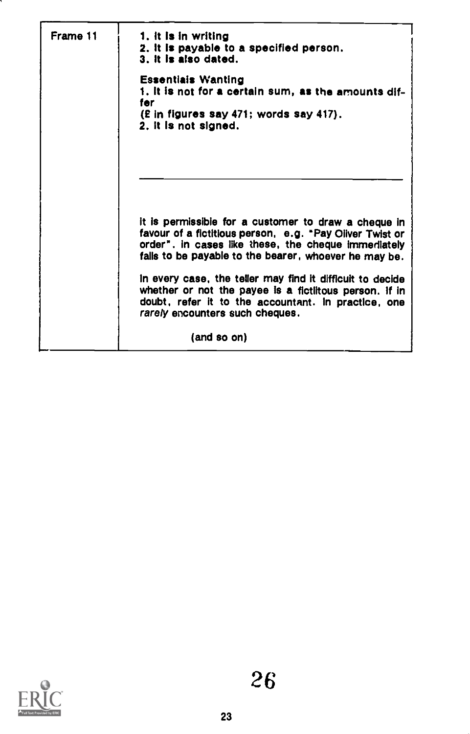| Frame 11 | 1. It is in writing<br>2. It is payable to a specified person.<br>3. It is also dated.                                                                                                                        |
|----------|---------------------------------------------------------------------------------------------------------------------------------------------------------------------------------------------------------------|
|          | <b>Essentials Wanting</b><br>1. It is not for a certain sum, as the amounts dif-<br>for<br>(E in figures say 471; words say 417).<br>2. It is not signed.                                                     |
|          | it is permissible for a customer to draw a cheque in<br>favour of a fictitious person, e.g. "Pay Oliver Twist or                                                                                              |
|          | order". In cases like these, the cheque immediately<br>falls to be payable to the bearer, whoever he may be.                                                                                                  |
|          | In every case, the teller may find it difficult to decide<br>whether or not the payee is a fictlitous person. If in<br>doubt, refer it to the accountant. In practice, one<br>rarely encounters such cheques. |
|          | (and so on)                                                                                                                                                                                                   |